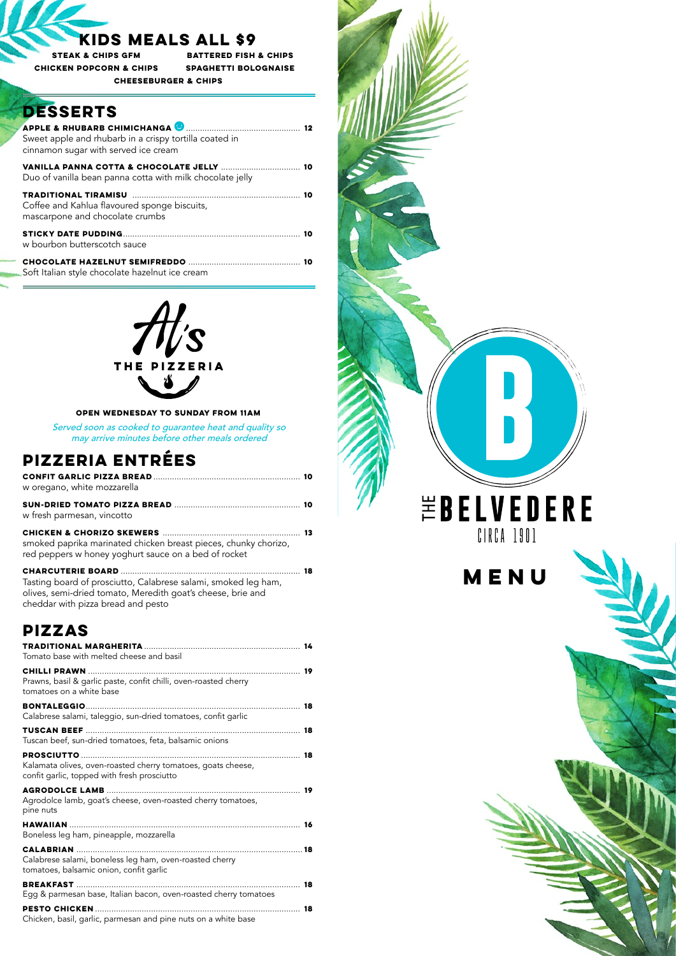

| w oregano, white mozzarella                                                                                             |  |
|-------------------------------------------------------------------------------------------------------------------------|--|
| w fresh parmesan, vincotto                                                                                              |  |
| smoked paprika marinated chicken breast pieces, chunky chorizo,<br>red peppers w honey yoghurt sauce on a bed of rocket |  |
| Tasting board of prosciutto, Calabrese salami, smoked leg ham,                                                          |  |

Served soon as cooked to guarantee heat and quality so may arrive minutes before other meals ordered

Tasting board of prosciutto, Calabrese salami, smoked leg ham, olives, semi-dried tomato, Meredith goat's cheese, brie and cheddar with pizza bread and pesto

### **OPEN WEDNESDAY TO SUNDAY FROM 11AM**

| Tomato base with melted cheese and basil                                                     |  |
|----------------------------------------------------------------------------------------------|--|
|                                                                                              |  |
| Prawns, basil & garlic paste, confit chilli, oven-roasted cherry<br>tomatoes on a white base |  |
| Calabrese salami, taleggio, sun-dried tomatoes, confit garlic                                |  |

#### **tuscan beef** ............................................................................................ **18**

Tuscan beef, sun-dried tomatoes, feta, balsamic onions

#### **prosciutto**.............................................................................................. **18**

Kalamata olives, oven-roasted cherry tomatoes, goats cheese, confit garlic, topped with fresh prosciutto

#### **agrodolce lamb**................................................................................... **19**

Agrodolce lamb, goat's cheese, oven-roasted cherry tomatoes, pine nuts

| Boneless leg ham, pineapple, mozzarella |  |
|-----------------------------------------|--|
|                                         |  |

Calabrese salami, boneless leg ham, oven-roasted cherry tomatoes, balsamic onion, confit garlic

### **breakfast** ................................................................................................ **18**

Egg & parmesan base, Italian bacon, oven-roasted cherry tomatoes

**pesto chicken**........................................................................................ **18**

Chicken, basil, garlic, parmesan and pine nuts on a white base

## **PIZZERIA ENTRéES**

## **PIZZAS**

| Sweet apple and rhubarb in a crispy tortilla coated in<br>cinnamon sugar with served ice cream |  |
|------------------------------------------------------------------------------------------------|--|
| Duo of vanilla bean panna cotta with milk chocolate jelly                                      |  |
| Coffee and Kahlua flavoured sponge biscuits,<br>mascarpone and chocolate crumbs                |  |
| w bourbon butterscotch sauce                                                                   |  |
|                                                                                                |  |

Soft Italian style chocolate hazelnut ice cream



**STEAK & CHIPS GFM CHICKEN POPCORN & CHIPS**

**BATTERED FISH & CHIPS SPAGHETTI BOLOGNAISE CHEESEBURGER & CHIPS**

## **DESSERTS**

### **KIDS MEALS ALL \$9**